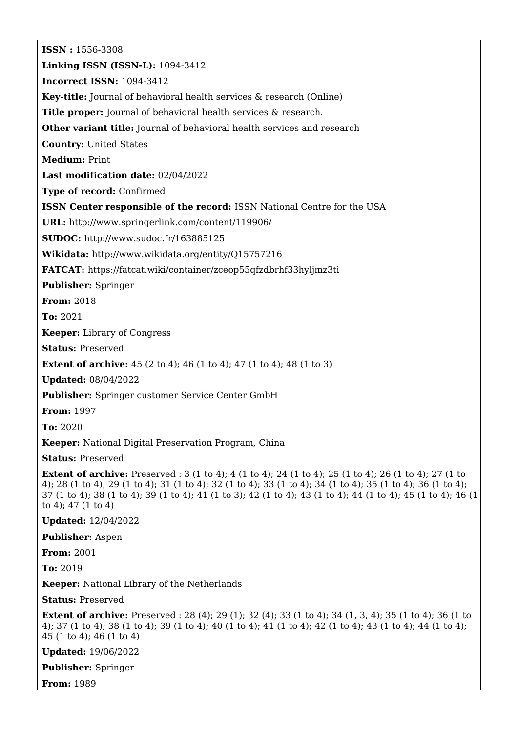**ISSN :** 1556-3308 **Linking ISSN (ISSN-L):** 1094-3412 **Incorrect ISSN:** 1094-3412 **Key-title:** Journal of behavioral health services & research (Online) **Title proper:** Journal of behavioral health services & research. **Other variant title:** Journal of behavioral health services and research **Country:** United States **Medium:** Print **Last modification date:** 02/04/2022 **Type of record:** Confirmed **ISSN Center responsible of the record:** ISSN National Centre for the USA **URL:** <http://www.springerlink.com/content/119906/> **SUDOC:** <http://www.sudoc.fr/163885125> **Wikidata:** <http://www.wikidata.org/entity/Q15757216> **FATCAT:** <https://fatcat.wiki/container/zceop55qfzdbrhf33hyljmz3ti> **Publisher:** Springer **From:** 2018 **To:** 2021 **Keeper:** Library of Congress **Status:** Preserved **Extent of archive:** 45 (2 to 4); 46 (1 to 4); 47 (1 to 4); 48 (1 to 3) **Updated:** 08/04/2022 **Publisher:** Springer customer Service Center GmbH **From:** 1997 **To:** 2020 **Keeper:** National Digital Preservation Program, China **Status:** Preserved **Extent of archive:** Preserved : 3 (1 to 4); 4 (1 to 4); 24 (1 to 4); 25 (1 to 4); 26 (1 to 4); 27 (1 to 4); 28 (1 to 4); 29 (1 to 4); 31 (1 to 4); 32 (1 to 4); 33 (1 to 4); 34 (1 to 4); 35 (1 to 4); 36 (1 to 4); 37 (1 to 4); 38 (1 to 4); 39 (1 to 4); 41 (1 to 3); 42 (1 to 4); 43 (1 to 4); 44 (1 to 4); 45 (1 to 4); 46 (1 to 4); 47 (1 to 4) **Updated:** 12/04/2022 **Publisher:** Aspen **From:** 2001 **To:** 2019 **Keeper:** National Library of the Netherlands **Status:** Preserved **Extent of archive:** Preserved : 28 (4); 29 (1); 32 (4); 33 (1 to 4); 34 (1, 3, 4); 35 (1 to 4); 36 (1 to 4); 37 (1 to 4); 38 (1 to 4); 39 (1 to 4); 40 (1 to 4); 41 (1 to 4); 42 (1 to 4); 43 (1 to 4); 44 (1 to 4); 45 (1 to 4); 46 (1 to 4) **Updated:** 19/06/2022 **Publisher:** Springer **From:** 1989